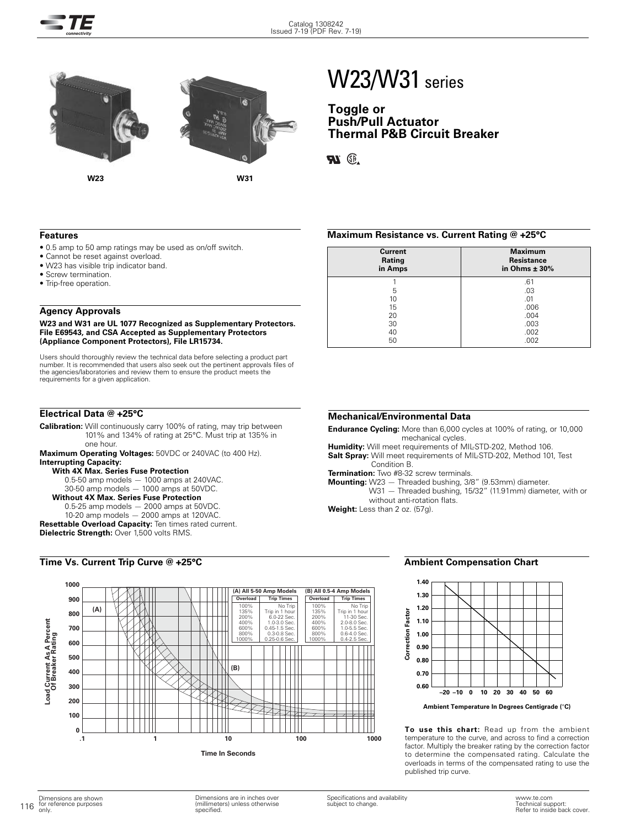

# W23/W31 series

### **Toggle or Push/Pull Actuator Thermal P&B Circuit Breaker**

**Ri** ®

### **Features**

- 0.5 amp to 50 amp ratings may be used as on/off switch.
- Cannot be reset against overload.
- W23 has visible trip indicator band.
- Screw termination.
- Trip-free operation.

### **Agency Approvals**

### **W23 and W31 are UL 1077 Recognized as Supplementary Protectors. File E69543, and CSA Accepted as Supplementary Protectors (Appliance Component Protectors), File LR15734.**

Users should thoroughly review the technical data before selecting a product part number. It is recommended that users also seek out the pertinent approvals files of the agencies/laboratories and review them to ensure the product meets the requirements for a given application.

### **Electrical Data @ +25°C**

**Calibration:** Will continuously carry 100% of rating, may trip between 101% and 134% of rating at 25°C. Must trip at 135% in one hour.

**Maximum Operating Voltages:** 50VDC or 240VAC (to 400 Hz). **Interrupting Capacity:** 

### **With 4X Max. Series Fuse Protection**

 $0.5-50$  amp models  $-1000$  amps at 240VAC. 30-50 amp models — 1000 amps at 50VDC.

### **Without 4X Max. Series Fuse Protection**

0.5-25 amp models — 2000 amps at 50VDC.

10-20 amp models — 2000 amps at 120VAC. **Resettable Overload Capacity:** Ten times rated current. **Dielectric Strength: Over 1,500 volts RMS.** 

### **Time Vs. Current Trip Curve @ +25°C**



### **Maximum Resistance vs. Current Rating @ +25°C**

| <b>Current</b><br>Rating<br>in Amps | <b>Maximum</b><br><b>Resistance</b><br>in Ohms $\pm$ 30% |
|-------------------------------------|----------------------------------------------------------|
|                                     | .61                                                      |
| 5                                   | .03                                                      |
| 10                                  | .01                                                      |
| 15                                  | .006                                                     |
| 20                                  | .004                                                     |
| 30                                  | .003                                                     |
| 40                                  | .002                                                     |
| 50                                  | .002                                                     |

### **Mechanical/Environmental Data**

**Endurance Cycling:** More than 6,000 cycles at 100% of rating, or 10,000 mechanical cycles.

**Humidity:** Will meet requirements of MIL-STD-202, Method 106. **Salt Spray:** Will meet requirements of MIL-STD-202, Method 101, Test

Condition B.

**Termination:** Two #8-32 screw terminals.

**Mounting:** W23 — Threaded bushing, 3/8" (9.53mm) diameter. W31 — Threaded bushing, 15/32" (11.91mm) diameter, with or without anti-rotation flats.

**Weight:** Less than 2 oz. (57g).

### **Ambient Compensation Chart**



**Ambient Temperature In Degrees Centigrade (**°**C)**

**To use this chart:** Read up from the ambient temperature to the curve, and across to find a correction factor. Multiply the breaker rating by the correction factor to determine the compensated rating. Calculate the overloads in terms of the compensated rating to use the published trip curve.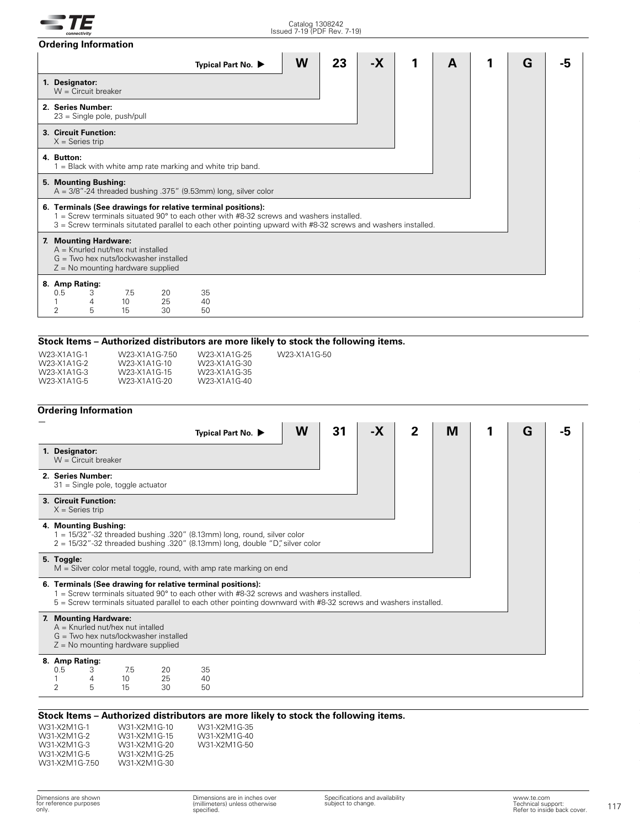|                                                                                                                                                                                                                                                                                      | <b>Ordering Information</b>   |                              |                |                    |  |   |    |      |   |   |   |  |
|--------------------------------------------------------------------------------------------------------------------------------------------------------------------------------------------------------------------------------------------------------------------------------------|-------------------------------|------------------------------|----------------|--------------------|--|---|----|------|---|---|---|--|
|                                                                                                                                                                                                                                                                                      |                               |                              |                | Typical Part No. ▶ |  | W | 23 | $-X$ | 1 | A | G |  |
| 1. Designator:                                                                                                                                                                                                                                                                       | $W =$ Circuit breaker         |                              |                |                    |  |   |    |      |   |   |   |  |
| 2. Series Number:<br>$23 =$ Single pole, push/pull                                                                                                                                                                                                                                   |                               |                              |                |                    |  |   |    |      |   |   |   |  |
| 3. Circuit Function:<br>$X =$ Series trip                                                                                                                                                                                                                                            |                               |                              |                |                    |  |   |    |      |   |   |   |  |
| 4. Button:<br>$1 =$ Black with white amp rate marking and white trip band.                                                                                                                                                                                                           |                               |                              |                |                    |  |   |    |      |   |   |   |  |
| 5. Mounting Bushing:<br>$A = 3/8" - 24$ threaded bushing .375" (9.53mm) long, silver color                                                                                                                                                                                           |                               |                              |                |                    |  |   |    |      |   |   |   |  |
| 6. Terminals (See drawings for relative terminal positions):<br>$1 =$ Screw terminals situated 90 $^{\circ}$ to each other with #8-32 screws and washers installed.<br>3 = Screw terminals situtated parallel to each other pointing upward with #8-32 screws and washers installed. |                               |                              |                |                    |  |   |    |      |   |   |   |  |
| 7. Mounting Hardware:<br>$A =$ Knurled nut/hex nut installed<br>$G = Two$ hex nuts/lockwasher installed<br>$Z = No$ mounting hardware supplied                                                                                                                                       |                               |                              |                |                    |  |   |    |      |   |   |   |  |
| 0.5<br>2                                                                                                                                                                                                                                                                             | 8. Amp Rating:<br>3<br>4<br>5 | 7.5<br>10 <sup>°</sup><br>15 | 20<br>25<br>30 | 35<br>40<br>50     |  |   |    |      |   |   |   |  |
|                                                                                                                                                                                                                                                                                      |                               |                              |                |                    |  |   |    |      |   |   |   |  |

### **Stock Items – Authorized distributors are more likely to stock the following items.**

| W23-X1A1G-1 | W23-X1A1G-750             | W23-X1A1G-25 | W23-X1A1G-50 |
|-------------|---------------------------|--------------|--------------|
| W23-X1A1G-2 | W23-X1A1G-10              | W23-X1A1G-30 |              |
| W23-X1A1G-3 | W <sub>23</sub> -X1A1G-15 | W23-X1A1G-35 |              |
| W23-X1A1G-5 | W23-X1A1G-20              | W23-X1A1G-40 |              |

### **Ordering Information**

| 1. Designator:<br>$W =$ Circuit breaker                                                                                                                                                                                                                                             |  |  |  |  |  |  |  |
|-------------------------------------------------------------------------------------------------------------------------------------------------------------------------------------------------------------------------------------------------------------------------------------|--|--|--|--|--|--|--|
|                                                                                                                                                                                                                                                                                     |  |  |  |  |  |  |  |
| 2. Series Number:<br>$31$ = Single pole, toggle actuator                                                                                                                                                                                                                            |  |  |  |  |  |  |  |
| 3. Circuit Function:<br>$X =$ Series trip                                                                                                                                                                                                                                           |  |  |  |  |  |  |  |
| 4. Mounting Bushing:<br>1 = 15/32"-32 threaded bushing .320" (8.13mm) long, round, silver color<br>$2 = 15/32$ "-32 threaded bushing .320" (8.13mm) long, double "D" silver color                                                                                                   |  |  |  |  |  |  |  |
| 5. Toggle:<br>$M =$ Silver color metal toggle, round, with amp rate marking on end                                                                                                                                                                                                  |  |  |  |  |  |  |  |
| 6. Terminals (See drawing for relative terminal positions):<br>$1 =$ Screw terminals situated 90 $\degree$ to each other with #8-32 screws and washers installed.<br>5 = Screw terminals situated parallel to each other pointing downward with #8-32 screws and washers installed. |  |  |  |  |  |  |  |
| 7. Mounting Hardware:<br>$A =$ Knurled nut/hex nut intalled<br>$G = Two$ hex nuts/lockwasher installed<br>$Z = No$ mounting hardware supplied                                                                                                                                       |  |  |  |  |  |  |  |
| 8. Amp Rating:                                                                                                                                                                                                                                                                      |  |  |  |  |  |  |  |
| 35<br>0.5<br>7.5<br>З<br>20<br>25<br>10<br>40<br>4                                                                                                                                                                                                                                  |  |  |  |  |  |  |  |
| $\overline{2}$<br>5<br>15<br>50<br>30                                                                                                                                                                                                                                               |  |  |  |  |  |  |  |

### **Stock Items – Authorized distributors are more likely to stock the following items.**

| W31-X2M1G-1   | W31-X   |
|---------------|---------|
| W31-X2M1G-2   | W31-X   |
| W31-X2M1G-3   | $W31-X$ |
| W31-X2M1G-5   | W31-X   |
| W31-X2M1G-750 | W31-X   |
|               |         |

(2M1G-10 (2M1G-15 (2M1G-20) (2M1G-25 (2M1G-30 W31-X2M1G-35 W31-X2M1G-40 W31-X2M1G-50